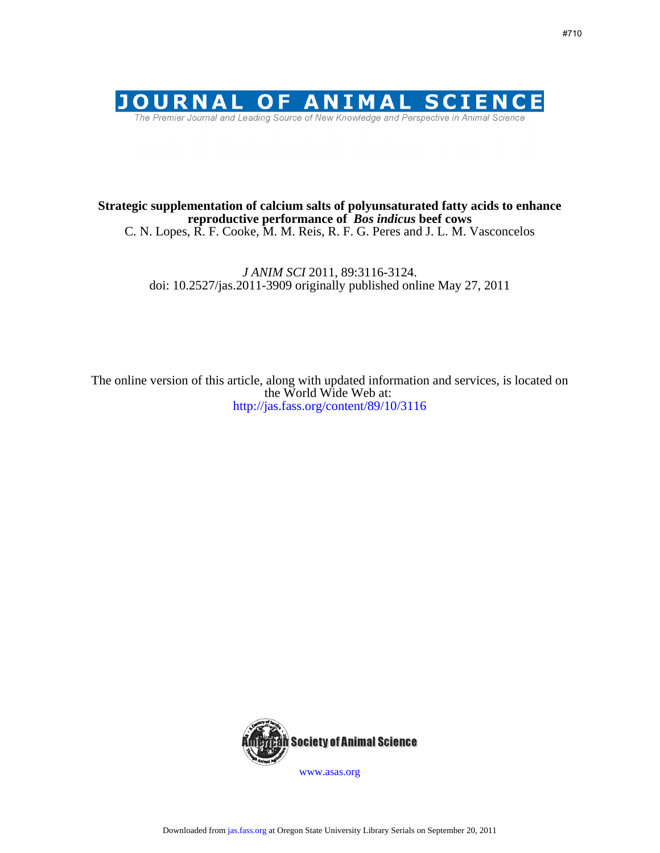

# C. N. Lopes, R. F. Cooke, M. M. Reis, R. F. G. Peres and J. L. M. Vasconcelos **reproductive performance of** *Bos indicus* **beef cows Strategic supplementation of calcium salts of polyunsaturated fatty acids to enhance**

doi: 10.2527/jas.2011-3909 originally published online May 27, 2011 *J ANIM SCI* 2011, 89:3116-3124.

http://jas.fass.org/content/89/10/3116 the World Wide Web at: The online version of this article, along with updated information and services, is located on



www.asas.org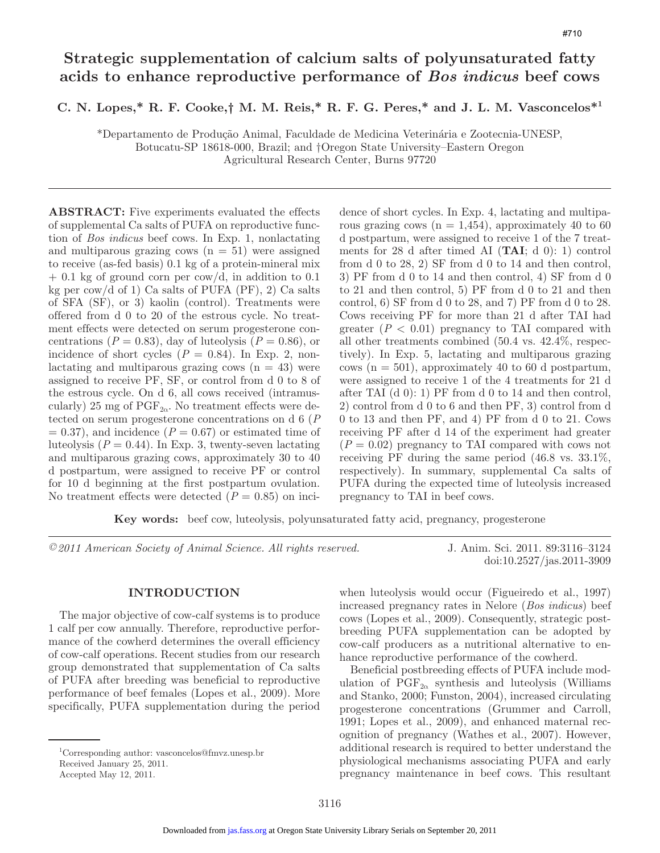# **Strategic supplementation of calcium salts of polyunsaturated fatty acids to enhance reproductive performance of** *Bos indicus* **beef cows**

**C. N. Lopes,\* R. F. Cooke,† M. M. Reis,\* R. F. G. Peres,\* and J. L. M. Vasconcelos\*1**

\*Departamento de Produção Animal, Faculdade de Medicina Veterinária e Zootecnia-UNESP, Botucatu-SP 18618-000, Brazil; and †Oregon State University–Eastern Oregon Agricultural Research Center, Burns 97720

**ABSTRACT:** Five experiments evaluated the effects of supplemental Ca salts of PUFA on reproductive function of *Bos indicus* beef cows. In Exp. 1, nonlactating and multiparous grazing cows  $(n = 51)$  were assigned to receive (as-fed basis) 0.1 kg of a protein-mineral mix  $+$  0.1 kg of ground corn per cow/d, in addition to 0.1 kg per cow/d of 1) Ca salts of PUFA  $(PF)$ , 2) Ca salts of SFA (SF), or 3) kaolin (control). Treatments were offered from d 0 to 20 of the estrous cycle. No treatment effects were detected on serum progesterone concentrations ( $P = 0.83$ ), day of luteolysis ( $P = 0.86$ ), or incidence of short cycles  $(P = 0.84)$ . In Exp. 2, nonlactating and multiparous grazing cows  $(n = 43)$  were assigned to receive PF, SF, or control from d 0 to 8 of the estrous cycle. On d 6, all cows received (intramuscularly) 25 mg of  $PGF_{2\alpha}$ . No treatment effects were detected on serum progesterone concentrations on d 6 (*P*  $= 0.37$ , and incidence ( $P = 0.67$ ) or estimated time of luteolysis  $(P = 0.44)$ . In Exp. 3, twenty-seven lactating and multiparous grazing cows, approximately 30 to 40 d postpartum, were assigned to receive PF or control for 10 d beginning at the first postpartum ovulation. No treatment effects were detected  $(P = 0.85)$  on incidence of short cycles. In Exp. 4, lactating and multiparous grazing cows  $(n = 1,454)$ , approximately 40 to 60 d postpartum, were assigned to receive 1 of the 7 treatments for 28 d after timed AI (**TAI**; d 0): 1) control from d 0 to 28, 2) SF from d 0 to 14 and then control, 3) PF from d 0 to 14 and then control, 4) SF from d 0 to 21 and then control, 5) PF from d 0 to 21 and then control,  $6)$  SF from d 0 to 28, and 7) PF from d 0 to 28. Cows receiving PF for more than 21 d after TAI had greater  $(P < 0.01)$  pregnancy to TAI compared with all other treatments combined (50.4 vs. 42.4%, respectively). In Exp. 5, lactating and multiparous grazing cows  $(n = 501)$ , approximately 40 to 60 d postpartum, were assigned to receive 1 of the 4 treatments for 21 d after TAI  $(d\ 0)$ : 1) PF from d 0 to 14 and then control, 2) control from d 0 to 6 and then PF, 3) control from d 0 to 13 and then PF, and 4) PF from d 0 to 21. Cows receiving PF after d 14 of the experiment had greater  $(P = 0.02)$  pregnancy to TAI compared with cows not receiving PF during the same period (46.8 vs. 33.1%, respectively). In summary, supplemental Ca salts of PUFA during the expected time of luteolysis increased pregnancy to TAI in beef cows.

**Key words:** beef cow, luteolysis, polyunsaturated fatty acid, pregnancy, progesterone

*©2011 American Society of Animal Science. All rights reserved.* J. Anim. Sci. 2011. 89:3116–3124

doi:10.2527/jas.2011-3909

## **INTRODUCTION**

The major objective of cow-calf systems is to produce 1 calf per cow annually. Therefore, reproductive performance of the cowherd determines the overall efficiency of cow-calf operations. Recent studies from our research group demonstrated that supplementation of Ca salts of PUFA after breeding was beneficial to reproductive performance of beef females (Lopes et al., 2009). More specifically, PUFA supplementation during the period when luteolysis would occur (Figueiredo et al., 1997) increased pregnancy rates in Nelore (*Bos indicus*) beef cows (Lopes et al., 2009). Consequently, strategic postbreeding PUFA supplementation can be adopted by cow-calf producers as a nutritional alternative to enhance reproductive performance of the cowherd.

Beneficial postbreeding effects of PUFA include modulation of  $PGF_{2\alpha}$  synthesis and luteolysis (Williams and Stanko, 2000; Funston, 2004), increased circulating progesterone concentrations (Grummer and Carroll, 1991; Lopes et al., 2009), and enhanced maternal recognition of pregnancy (Wathes et al., 2007). However, additional research is required to better understand the physiological mechanisms associating PUFA and early pregnancy maintenance in beef cows. This resultant

<sup>1</sup> Corresponding author: vasconcelos@fmvz.unesp.br

Received January 25, 2011. Accepted May 12, 2011.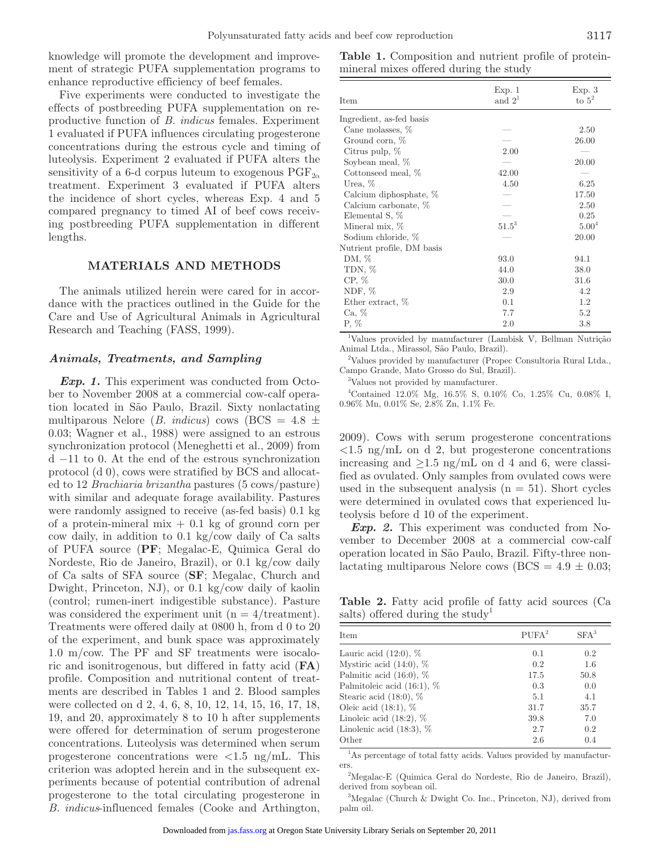knowledge will promote the development and improvement of strategic PUFA supplementation programs to enhance reproductive efficiency of beef females.

Five experiments were conducted to investigate the effects of postbreeding PUFA supplementation on reproductive function of *B. indicus* females. Experiment 1 evaluated if PUFA influences circulating progesterone concentrations during the estrous cycle and timing of luteolysis. Experiment 2 evaluated if PUFA alters the sensitivity of a 6-d corpus luteum to exogenous  $\mathrm{PGF}_{2\alpha}$ treatment. Experiment 3 evaluated if PUFA alters the incidence of short cycles, whereas Exp. 4 and 5 compared pregnancy to timed AI of beef cows receiving postbreeding PUFA supplementation in different lengths.

# **MATERIALS AND METHODS**

The animals utilized herein were cared for in accordance with the practices outlined in the Guide for the Care and Use of Agricultural Animals in Agricultural Research and Teaching (FASS, 1999).

#### *Animals, Treatments, and Sampling*

*Exp. 1.* This experiment was conducted from October to November 2008 at a commercial cow-calf operation located in São Paulo, Brazil. Sixty nonlactating multiparous Nelore (*B. indicus*) cows (BCS =  $4.8 \pm$ 0.03; Wagner et al., 1988) were assigned to an estrous synchronization protocol (Meneghetti et al., 2009) from d −11 to 0. At the end of the estrous synchronization protocol (d 0), cows were stratified by BCS and allocated to 12 *Brachiaria brizantha* pastures (5 cows/pasture) with similar and adequate forage availability. Pastures were randomly assigned to receive (as-fed basis) 0.1 kg of a protein-mineral mix  $+$  0.1 kg of ground corn per cow daily, in addition to 0.1 kg/cow daily of Ca salts of PUFA source (**PF**; Megalac-E, Quimica Geral do Nordeste, Rio de Janeiro, Brazil), or 0.1 kg/cow daily of Ca salts of SFA source (**SF**; Megalac, Church and Dwight, Princeton, NJ), or 0.1 kg/cow daily of kaolin (control; rumen-inert indigestible substance). Pasture was considered the experiment unit  $(n = 4/\text{treatment})$ . Treatments were offered daily at 0800 h, from d 0 to 20 of the experiment, and bunk space was approximately 1.0 m/cow. The PF and SF treatments were isocaloric and isonitrogenous, but differed in fatty acid (**FA**) profile. Composition and nutritional content of treatments are described in Tables 1 and 2. Blood samples were collected on d 2, 4, 6, 8, 10, 12, 14, 15, 16, 17, 18, 19, and 20, approximately 8 to 10 h after supplements were offered for determination of serum progesterone concentrations. Luteolysis was determined when serum progesterone concentrations were  $\langle 1.5 \text{ ng/mL}$ . This criterion was adopted herein and in the subsequent experiments because of potential contribution of adrenal progesterone to the total circulating progesterone in *B. indicus*-influenced females (Cooke and Arthington,

**Table 1.** Composition and nutrient profile of proteinmineral mixes offered during the study

| Item                       | Exp. 1<br>and $21$ | Exp.3<br>to $5^2$ |
|----------------------------|--------------------|-------------------|
| Ingredient, as-fed basis   |                    |                   |
| Cane molasses, %           |                    | 2.50              |
| Ground corn, %             |                    | 26.00             |
| Citrus pulp, $%$           | 2.00               |                   |
| Soybean meal, %            |                    | 20.00             |
| Cottonseed meal, %         | 42.00              |                   |
| Urea, $%$                  | 4.50               | 6.25              |
| Calcium diphosphate, %     |                    | 17.50             |
| Calcium carbonate, %       |                    | 2.50              |
| Elemental S, %             |                    | 0.25              |
| Mineral mix, %             | $51.5^3$           | 5.00 <sup>4</sup> |
| Sodium chloride, %         |                    | 20.00             |
| Nutrient profile, DM basis |                    |                   |
| DM, %                      | 93.0               | 94.1              |
| TDN, %                     | 44.0               | 38.0              |
| $CP, \%$                   | 30.0               | 31.6              |
| NDF, $%$                   | 2.9                | 4.2               |
| Ether extract, %           | 0.1                | 1.2               |
| Ca, %                      | 7.7                | 5.2               |
| $P, \%$                    | 2.0                | 3.8               |

1 Values provided by manufacturer (Lambisk V, Bellman Nutrição Animal Ltda., Mirassol, São Paulo, Brazil).

<sup>2</sup>Values provided by manufacturer (Propec Consultoria Rural Ltda., Campo Grande, Mato Grosso do Sul, Brazil).

3 Values not provided by manufacturer.

4 Contained 12.0% Mg, 16.5% S, 0.10% Co, 1.25% Cu, 0.08% I, 0.96% Mn, 0.01% Se, 2.8% Zn, 1.1% Fe.

2009). Cows with serum progesterone concentrations  $\langle 1.5 \text{ ng/mL} \rangle$  on d 2, but progesterone concentrations increasing and  $\geq 1.5$  ng/mL on d 4 and 6, were classified as ovulated. Only samples from ovulated cows were used in the subsequent analysis  $(n = 51)$ . Short cycles were determined in ovulated cows that experienced luteolysis before d 10 of the experiment.

*Exp. 2.* This experiment was conducted from November to December 2008 at a commercial cow-calf operation located in São Paulo, Brazil. Fifty-three nonlactating multiparous Nelore cows ( $BCS = 4.9 \pm 0.03$ ;

**Table 2.** Fatty acid profile of fatty acid sources (Ca salts) offered during the study<sup>1</sup>

| <b>Item</b>                   | PUFA <sup>2</sup> | $SFA^3$ |
|-------------------------------|-------------------|---------|
| Lauric acid $(12:0)$ , $%$    | 0.1               | 0.2     |
| Mystiric acid $(14:0)$ , %    | 0.2               | 1.6     |
| Palmitic acid $(16:0)$ , $%$  | 17.5              | 50.8    |
| Palmitoleic acid $(16:1)$ , % | 0.3               | 0.0     |
| Stearic acid $(18:0)$ , $%$   | 5.1               | 4.1     |
| Oleic acid $(18:1)$ , %       | 31.7              | 35.7    |
| Linoleic acid $(18:2)$ , $%$  | 39.8              | 7.0     |
| Linolenic acid $(18:3)$ , $%$ | 2.7               | 0.2     |
| Other                         | 2.6               | 0.4     |

<sup>1</sup>As percentage of total fatty acids. Values provided by manufacturers.2 Megalac-E (Quimica Geral do Nordeste, Rio de Janeiro, Brazil),

derived from soybean oil.

3 Megalac (Church & Dwight Co. Inc., Princeton, NJ), derived from palm oil.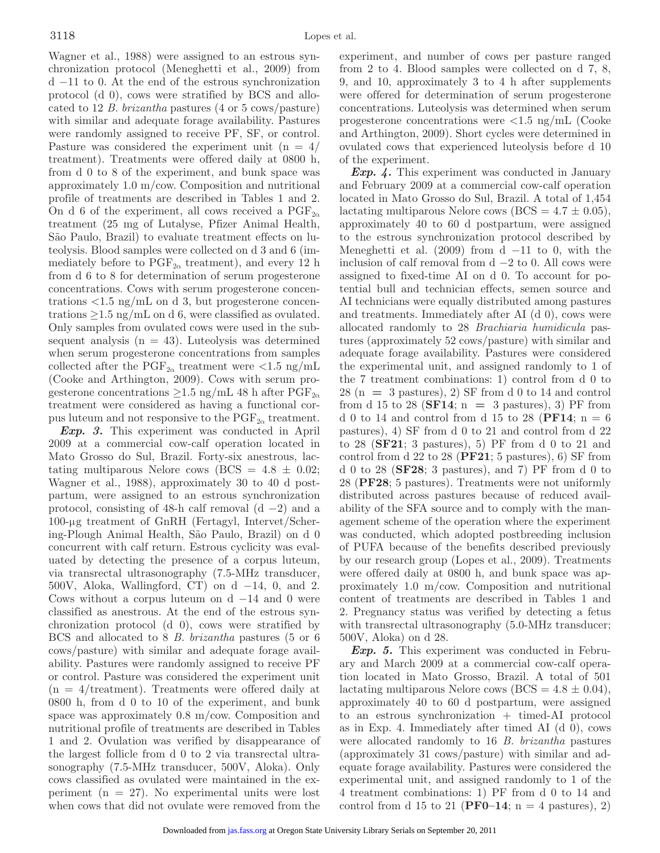Wagner et al., 1988) were assigned to an estrous synchronization protocol (Meneghetti et al., 2009) from d −11 to 0. At the end of the estrous synchronization protocol (d 0), cows were stratified by BCS and allocated to 12 *B. brizantha* pastures (4 or 5 cows/pasture) with similar and adequate forage availability. Pastures were randomly assigned to receive PF, SF, or control. Pasture was considered the experiment unit  $(n = 4)$ treatment). Treatments were offered daily at 0800 h, from d 0 to 8 of the experiment, and bunk space was approximately 1.0 m/cow. Composition and nutritional profile of treatments are described in Tables 1 and 2. On d 6 of the experiment, all cows received a  $PGF_{2\alpha}$ treatment (25 mg of Lutalyse, Pfizer Animal Health, São Paulo, Brazil) to evaluate treatment effects on luteolysis. Blood samples were collected on d 3 and 6 (immediately before to  $\mathrm{PGF}_{2\alpha}$  treatment), and every 12 h from d 6 to 8 for determination of serum progesterone concentrations. Cows with serum progesterone concentrations  $\langle 1.5 \text{ ng/mL} \rangle$  on d 3, but progesterone concentrations  $\geq 1.5$  ng/mL on d 6, were classified as ovulated. Only samples from ovulated cows were used in the subsequent analysis  $(n = 43)$ . Luteolysis was determined when serum progesterone concentrations from samples collected after the  $\mathrm{PGF}_{2\alpha}$  treatment were <1.5 ng/mL (Cooke and Arthington, 2009). Cows with serum progesterone concentrations  $\geq$ 1.5 ng/mL 48 h after PGF<sub>2 $\alpha$ </sub> treatment were considered as having a functional corpus luteum and not responsive to the  $\mathrm{PGF}_{2\alpha}$  treatment.

*Exp. 3.* This experiment was conducted in April 2009 at a commercial cow-calf operation located in Mato Grosso do Sul, Brazil. Forty-six anestrous, lactating multiparous Nelore cows (BCS =  $4.8 \pm 0.02$ ; Wagner et al., 1988), approximately 30 to 40 d postpartum, were assigned to an estrous synchronization protocol, consisting of 48-h calf removal  $(d - 2)$  and a 100-µg treatment of GnRH (Fertagyl, Intervet/Schering-Plough Animal Health, São Paulo, Brazil) on d 0 concurrent with calf return. Estrous cyclicity was evaluated by detecting the presence of a corpus luteum, via transrectal ultrasonography (7.5-MHz transducer, 500V, Aloka, Wallingford, CT) on d  $-14$ , 0, and 2. Cows without a corpus luteum on  $d -14$  and 0 were classified as anestrous. At the end of the estrous synchronization protocol (d 0), cows were stratified by BCS and allocated to 8 *B. brizantha* pastures (5 or 6 cows/pasture) with similar and adequate forage availability. Pastures were randomly assigned to receive PF or control. Pasture was considered the experiment unit  $(n = 4/\text{treatment})$ . Treatments were offered daily at 0800 h, from d 0 to 10 of the experiment, and bunk space was approximately 0.8 m/cow. Composition and nutritional profile of treatments are described in Tables 1 and 2. Ovulation was verified by disappearance of the largest follicle from d 0 to 2 via transrectal ultrasonography (7.5-MHz transducer, 500V, Aloka). Only cows classified as ovulated were maintained in the experiment  $(n = 27)$ . No experimental units were lost when cows that did not ovulate were removed from the experiment, and number of cows per pasture ranged from 2 to 4. Blood samples were collected on d 7, 8, 9, and 10, approximately 3 to 4 h after supplements were offered for determination of serum progesterone concentrations. Luteolysis was determined when serum progesterone concentrations were  $\langle 1.5 \text{ ng/mL} \rangle$  (Cooke and Arthington, 2009). Short cycles were determined in ovulated cows that experienced luteolysis before d 10 of the experiment.

*Exp. 4.* This experiment was conducted in January and February 2009 at a commercial cow-calf operation located in Mato Grosso do Sul, Brazil. A total of 1,454 lactating multiparous Nelore cows ( $BCS = 4.7 \pm 0.05$ ), approximately 40 to 60 d postpartum, were assigned to the estrous synchronization protocol described by Meneghetti et al.  $(2009)$  from d −11 to 0, with the inclusion of calf removal from  $d - 2$  to 0. All cows were assigned to fixed-time AI on d 0. To account for potential bull and technician effects, semen source and AI technicians were equally distributed among pastures and treatments. Immediately after AI (d 0), cows were allocated randomly to 28 *Brachiaria humidicula* pastures (approximately 52 cows/pasture) with similar and adequate forage availability. Pastures were considered the experimental unit, and assigned randomly to 1 of the 7 treatment combinations: 1) control from d 0 to 28 (n **=** 3 pastures), 2) SF from d 0 to 14 and control from d 15 to 28 (**SF14**;  $n = 3$  pastures), 3) PF from d 0 to 14 and control from d 15 to 28 (**PF14**;  $n = 6$ pastures), 4) SF from d 0 to 21 and control from d 22 to 28 (**SF21**; 3 pastures), 5) PF from d 0 to 21 and control from d 22 to 28 (**PF21**; 5 pastures), 6) SF from d 0 to 28 (**SF28**; 3 pastures), and 7) PF from d 0 to 28 (**PF28**; 5 pastures). Treatments were not uniformly distributed across pastures because of reduced availability of the SFA source and to comply with the management scheme of the operation where the experiment was conducted, which adopted postbreeding inclusion of PUFA because of the benefits described previously by our research group (Lopes et al., 2009). Treatments were offered daily at 0800 h, and bunk space was approximately 1.0 m/cow. Composition and nutritional content of treatments are described in Tables 1 and 2. Pregnancy status was verified by detecting a fetus with transrectal ultrasonography  $(5.0\text{-}MHz \ transducer;$ 500V, Aloka) on d 28.

*Exp. 5.* This experiment was conducted in February and March 2009 at a commercial cow-calf operation located in Mato Grosso, Brazil. A total of 501 lactating multiparous Nelore cows ( $BCS = 4.8 \pm 0.04$ ), approximately 40 to 60 d postpartum, were assigned to an estrous synchronization + timed-AI protocol as in Exp. 4. Immediately after timed AI (d 0), cows were allocated randomly to 16 *B. brizantha* pastures (approximately 31 cows/pasture) with similar and adequate forage availability. Pastures were considered the experimental unit, and assigned randomly to 1 of the 4 treatment combinations: 1) PF from d 0 to 14 and control from d 15 to 21 ( $\text{PFO-14}$ ; n = 4 pastures), 2)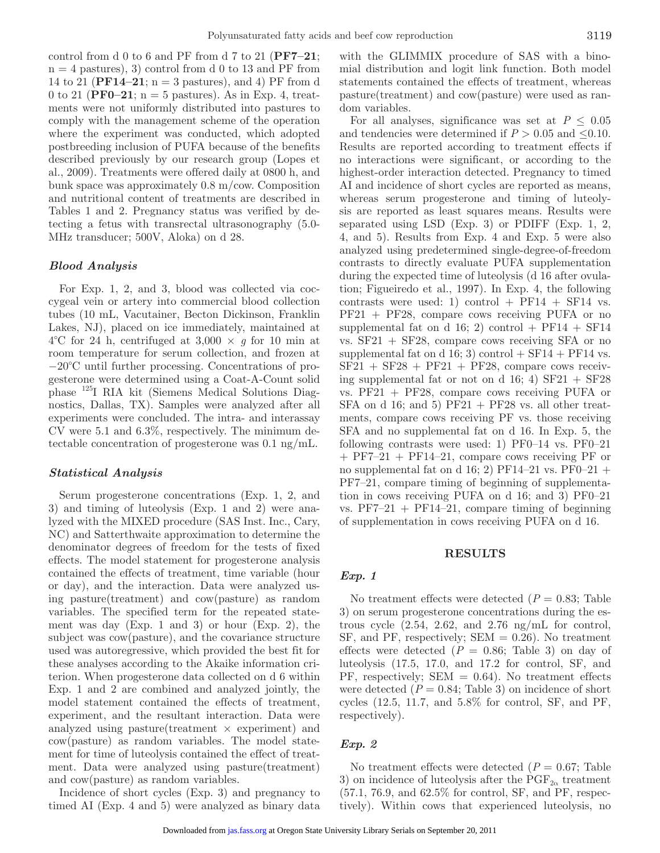control from d 0 to 6 and PF from d 7 to 21 (**PF7–21**;  $n = 4$  pastures), 3) control from d 0 to 13 and PF from 14 to 21 ( $\text{PF14-21}$ ; n = 3 pastures), and 4) PF from d 0 to 21 ( $\text{PFO-21}$ ; n = 5 pastures). As in Exp. 4, treatments were not uniformly distributed into pastures to comply with the management scheme of the operation where the experiment was conducted, which adopted postbreeding inclusion of PUFA because of the benefits described previously by our research group (Lopes et al., 2009). Treatments were offered daily at 0800 h, and bunk space was approximately 0.8 m/cow. Composition and nutritional content of treatments are described in Tables 1 and 2. Pregnancy status was verified by detecting a fetus with transrectal ultrasonography (5.0- MHz transducer; 500V, Aloka) on d 28.

# *Blood Analysis*

For Exp. 1, 2, and 3, blood was collected via coccygeal vein or artery into commercial blood collection tubes (10 mL, Vacutainer, Becton Dickinson, Franklin Lakes, NJ), placed on ice immediately, maintained at  $4^{\circ}$ C for 24 h, centrifuged at  $3,000 \times q$  for 10 min at room temperature for serum collection, and frozen at −20°C until further processing. Concentrations of progesterone were determined using a Coat-A-Count solid phase 125I RIA kit (Siemens Medical Solutions Diagnostics, Dallas, TX). Samples were analyzed after all experiments were concluded. The intra- and interassay CV were 5.1 and 6.3%, respectively. The minimum detectable concentration of progesterone was 0.1 ng/mL.

## *Statistical Analysis*

Serum progesterone concentrations (Exp. 1, 2, and 3) and timing of luteolysis (Exp. 1 and 2) were analyzed with the MIXED procedure (SAS Inst. Inc., Cary, NC) and Satterthwaite approximation to determine the denominator degrees of freedom for the tests of fixed effects. The model statement for progesterone analysis contained the effects of treatment, time variable (hour or day), and the interaction. Data were analyzed using pasture(treatment) and cow(pasture) as random variables. The specified term for the repeated statement was day (Exp. 1 and 3) or hour (Exp. 2), the subject was cow(pasture), and the covariance structure used was autoregressive, which provided the best fit for these analyses according to the Akaike information criterion. When progesterone data collected on d 6 within Exp. 1 and 2 are combined and analyzed jointly, the model statement contained the effects of treatment, experiment, and the resultant interaction. Data were analyzed using pasture(treatment  $\times$  experiment) and cow(pasture) as random variables. The model statement for time of luteolysis contained the effect of treatment. Data were analyzed using pasture(treatment) and cow(pasture) as random variables.

Incidence of short cycles (Exp. 3) and pregnancy to timed AI (Exp. 4 and 5) were analyzed as binary data with the GLIMMIX procedure of SAS with a binomial distribution and logit link function. Both model statements contained the effects of treatment, whereas pasture(treatment) and cow(pasture) were used as random variables.

For all analyses, significance was set at  $P \leq 0.05$ and tendencies were determined if  $P > 0.05$  and  $\leq 0.10$ . Results are reported according to treatment effects if no interactions were significant, or according to the highest-order interaction detected. Pregnancy to timed AI and incidence of short cycles are reported as means, whereas serum progesterone and timing of luteolysis are reported as least squares means. Results were separated using LSD (Exp. 3) or PDIFF (Exp. 1, 2, 4, and 5). Results from Exp. 4 and Exp. 5 were also analyzed using predetermined single-degree-of-freedom contrasts to directly evaluate PUFA supplementation during the expected time of luteolysis (d 16 after ovulation; Figueiredo et al., 1997). In Exp. 4, the following contrasts were used: 1) control +  $PF14$  +  $SF14$  vs. PF21 + PF28, compare cows receiving PUFA or no supplemental fat on d 16; 2) control + PF14 + SF14 vs. SF21 + SF28, compare cows receiving SFA or no supplemental fat on d 16; 3) control  $+$  SF14  $+$  PF14 vs.  $SF21 + SF28 + PF21 + PF28$ , compare cows receiving supplemental fat or not on d  $16; 4$ ) SF21 + SF28 vs. PF21 + PF28, compare cows receiving PUFA or SFA on d 16; and 5)  $PF21 + PF28$  vs. all other treatments, compare cows receiving PF vs. those receiving SFA and no supplemental fat on d 16. In Exp. 5, the following contrasts were used: 1)  $PF0-14$  vs.  $PF0-21$ + PF7–21 + PF14–21, compare cows receiving PF or no supplemental fat on d 16; 2) PF14–21 vs. PF0–21 + PF7–21, compare timing of beginning of supplementation in cows receiving PUFA on d 16; and 3) PF0–21 vs.  $PF7-21 + PF14-21$ , compare timing of beginning of supplementation in cows receiving PUFA on d 16.

#### **RESULTS**

#### *Exp. 1*

No treatment effects were detected  $(P = 0.83;$  Table 3) on serum progesterone concentrations during the estrous cycle (2.54, 2.62, and 2.76 ng/mL for control,  $SF$ , and  $PF$ , respectively;  $SEM = 0.26$ ). No treatment effects were detected  $(P = 0.86;$  Table 3) on day of luteolysis (17.5, 17.0, and 17.2 for control, SF, and  $PF$ , respectively;  $SEM = 0.64$ ). No treatment effects were detected  $(P = 0.84;$  Table 3) on incidence of short cycles (12.5, 11.7, and 5.8% for control, SF, and PF, respectively).

### *Exp. 2*

No treatment effects were detected  $(P = 0.67;$  Table 3) on incidence of lute olysis after the  $\mathrm{PGF}_{2\alpha}$  treatment (57.1, 76.9, and 62.5% for control, SF, and PF, respectively). Within cows that experienced luteolysis, no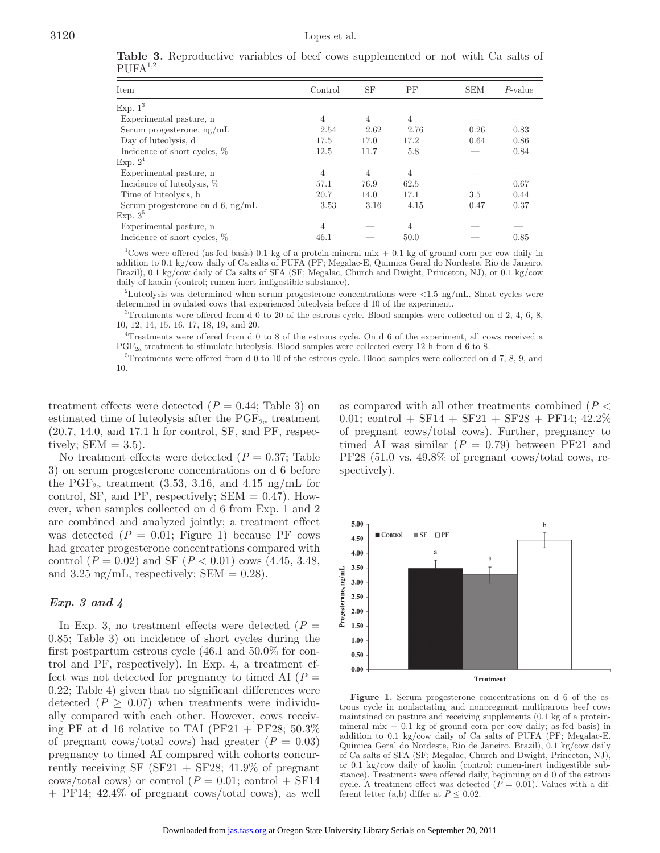| Item                                | Control        | SF             | ΡF             | <b>SEM</b> | $P$ -value |
|-------------------------------------|----------------|----------------|----------------|------------|------------|
| Exp. $1^3$                          |                |                |                |            |            |
| Experimental pasture, n             | $\overline{4}$ | $\overline{4}$ | $\overline{4}$ |            |            |
| Serum progesterone, $ng/mL$         | 2.54           | 2.62           | 2.76           | 0.26       | 0.83       |
| Day of lute olysis, d               | 17.5           | 17.0           | 17.2           | 0.64       | 0.86       |
| Incidence of short cycles, %        | 12.5           | 11.7           | 5.8            |            | 0.84       |
| Exp. $2^4$                          |                |                |                |            |            |
| Experimental pasture, n             | 4              | 4              | 4              |            |            |
| Incidence of luteolysis, %          | 57.1           | 76.9           | 62.5           |            | 0.67       |
| Time of luteolysis, h               | 20.7           | 14.0           | 17.1           | 3.5        | 0.44       |
| Serum progesterone on d $6$ , ng/mL | 3.53           | 3.16           | 4.15           | 0.47       | 0.37       |
| Exp. $3^{\circ}$                    |                |                |                |            |            |
| Experimental pasture, n             | 4              |                | $\overline{4}$ |            |            |
| Incidence of short cycles, %        | 46.1           |                | 50.0           |            | 0.85       |

**Table 3.** Reproductive variables of beef cows supplemented or not with Ca salts of  $PIIFA<sup>1,2</sup>$ 

<sup>1</sup>Cows were offered (as-fed basis) 0.1 kg of a protein-mineral mix  $+$  0.1 kg of ground corn per cow daily in addition to 0.1 kg/cow daily of Ca salts of PUFA (PF; Megalac-E, Quimica Geral do Nordeste, Rio de Janeiro, Brazil), 0.1 kg/cow daily of Ca salts of SFA (SF; Megalac, Church and Dwight, Princeton, NJ), or 0.1 kg/cow daily of kaolin (control; rumen-inert indigestible substance).

2 Luteolysis was determined when serum progesterone concentrations were <1.5 ng/mL. Short cycles were determined in ovulated cows that experienced luteolysis before d 10 of the experiment.

3 Treatments were offered from d 0 to 20 of the estrous cycle. Blood samples were collected on d 2, 4, 6, 8, 10, 12, 14, 15, 16, 17, 18, 19, and 20.

4 Treatments were offered from d 0 to 8 of the estrous cycle. On d 6 of the experiment, all cows received a  $PGF_{2\alpha}$  treatment to stimulate luteolysis. Blood samples were collected every 12 h from d 6 to 8.

5 Treatments were offered from d 0 to 10 of the estrous cycle. Blood samples were collected on d 7, 8, 9, and 10.

treatment effects were detected  $(P = 0.44;$  Table 3) on estimated time of luteolysis after the  $\text{PGF}_{2\alpha}$  treatment (20.7, 14.0, and 17.1 h for control, SF, and PF, respectively;  $SEM = 3.5$ ).

No treatment effects were detected  $(P = 0.37;$  Table 3) on serum progesterone concentrations on d 6 before the PGF<sub>2 $\alpha$ </sub> treatment (3.53, 3.16, and 4.15 ng/mL for control, SF, and PF, respectively;  $SEM = 0.47$ . However, when samples collected on d 6 from Exp. 1 and 2 are combined and analyzed jointly; a treatment effect was detected  $(P = 0.01;$  Figure 1) because PF cows had greater progesterone concentrations compared with control (*P* = 0.02) and SF (*P* < 0.01) cows (4.45, 3.48, and 3.25 ng/mL, respectively; SEM  $= 0.28$ ).

# *Exp. 3 and 4*

In Exp. 3, no treatment effects were detected  $(P =$ 0.85; Table 3) on incidence of short cycles during the first postpartum estrous cycle (46.1 and 50.0% for control and PF, respectively). In Exp. 4, a treatment effect was not detected for pregnancy to timed AI  $(P =$ 0.22; Table 4) given that no significant differences were detected  $(P \geq 0.07)$  when treatments were individually compared with each other. However, cows receiving PF at d 16 relative to TAI (PF21 + PF28;  $50.3\%$ of pregnant cows/total cows) had greater  $(P = 0.03)$ pregnancy to timed AI compared with cohorts concurrently receiving SF  $(SF21 + SF28; 41.9\%$  of pregnant cows/total cows) or control  $(P = 0.01;$  control  $+$  SF14 + PF14; 42.4% of pregnant cows/total cows), as well as compared with all other treatments combined (*P* < 0.01; control + SF14 + SF21 + SF28 + PF14;  $42.2\%$ of pregnant cows/total cows). Further, pregnancy to timed AI was similar  $(P = 0.79)$  between PF21 and PF28 (51.0 vs. 49.8% of pregnant cows/total cows, respectively).



Figure 1. Serum progesterone concentrations on d 6 of the estrous cycle in nonlactating and nonpregnant multiparous beef cows maintained on pasture and receiving supplements (0.1 kg of a proteinmineral mix  $+$  0.1 kg of ground corn per cow daily; as-fed basis) in addition to 0.1 kg/cow daily of Ca salts of PUFA (PF; Megalac-E, Quimica Geral do Nordeste, Rio de Janeiro, Brazil), 0.1 kg/cow daily of Ca salts of SFA (SF; Megalac, Church and Dwight, Princeton, NJ), or 0.1 kg/cow daily of kaolin (control; rumen-inert indigestible substance). Treatments were offered daily, beginning on d 0 of the estrous cycle. A treatment effect was detected  $(P = 0.01)$ . Values with a different letter (a,b) differ at  $P \leq 0.02$ .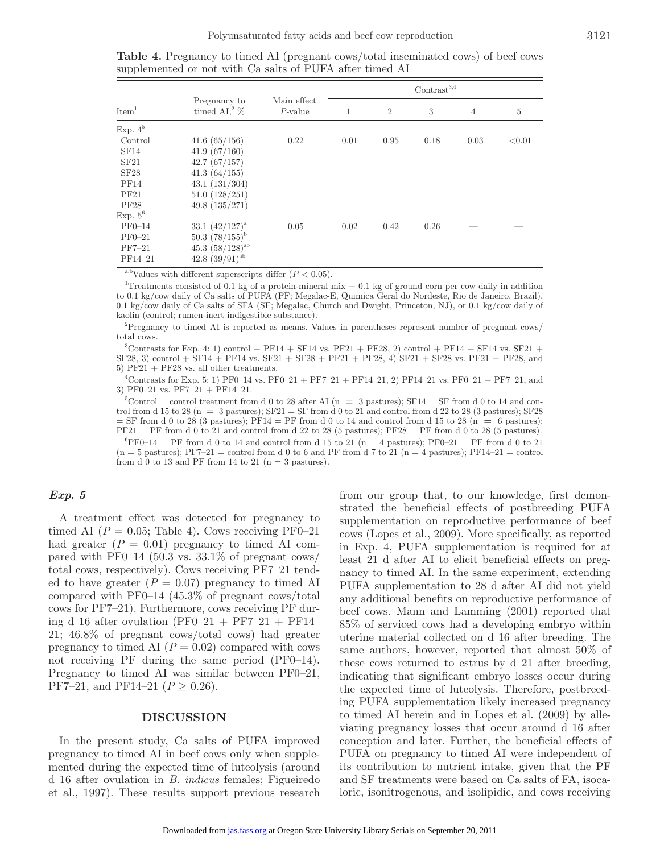|                   |                                            |                           | $Contrast^{3,4}$ |                |      |                |        |
|-------------------|--------------------------------------------|---------------------------|------------------|----------------|------|----------------|--------|
| Item <sup>1</sup> | Pregnancy to<br>timed AI, <sup>2</sup> $%$ | Main effect<br>$P$ -value | 1                | $\overline{2}$ | 3    | $\overline{4}$ | 5      |
| Exp. $4^5$        |                                            |                           |                  |                |      |                |        |
| Control           | 41.6(65/156)                               | 0.22                      | 0.01             | 0.95           | 0.18 | 0.03           | < 0.01 |
| SF <sub>14</sub>  | 41.9(67/160)                               |                           |                  |                |      |                |        |
| SF21              | 42.7(67/157)                               |                           |                  |                |      |                |        |
| SF28              | 41.3(64/155)                               |                           |                  |                |      |                |        |
| PF14              | 43.1(131/304)                              |                           |                  |                |      |                |        |
| PF21              | 51.0(128/251)                              |                           |                  |                |      |                |        |
| <b>PF28</b>       | 49.8(135/271)                              |                           |                  |                |      |                |        |
| Exp. $5^6$        |                                            |                           |                  |                |      |                |        |
| $PF0-14$          | 33.1 $(42/127)^{a}$                        | 0.05                      | 0.02             | 0.42           | 0.26 |                |        |
| $PF0-21$          | 50.3 $(78/155)^b$                          |                           |                  |                |      |                |        |
| $PF7-21$          | 45.3 $(58/128)^{ab}$                       |                           |                  |                |      |                |        |
| $PF14-21$         | 42.8 $(39/91)^{ab}$                        |                           |                  |                |      |                |        |

**Table 4.** Pregnancy to timed AI (pregnant cows/total inseminated cows) of beef cows supplemented or not with Ca salts of PUFA after timed AI

<sup>a,b</sup>Values with different superscripts differ  $(P < 0.05)$ .

<sup>1</sup>Treatments consisted of 0.1 kg of a protein-mineral mix  $+$  0.1 kg of ground corn per cow daily in addition to 0.1 kg/cow daily of Ca salts of PUFA (PF; Megalac-E, Quimica Geral do Nordeste, Rio de Janeiro, Brazil), 0.1 kg/cow daily of Ca salts of SFA (SF; Megalac, Church and Dwight, Princeton, NJ), or 0.1 kg/cow daily of kaolin (control; rumen-inert indigestible substance).

2 Pregnancy to timed AI is reported as means. Values in parentheses represent number of pregnant cows/ total cows.

 $3$ Contrasts for Exp. 4: 1) control + PF14 + SF14 vs. PF21 + PF28, 2) control + PF14 + SF14 vs. SF21 + SF28, 3) control + SF14 + PF14 vs. SF21 + SF28 + PF21 + PF28, 4) SF21 + SF28 vs. PF21 + PF28, and 5) PF21 + PF28 vs. all other treatments.

 $^{4}$ Contrasts for Exp. 5: 1) PF0–14 vs. PF0–21 + PF7–21 + PF14–21, 2) PF14–21 vs. PF0–21 + PF7–21, and 3) PF0–21 vs. PF7–21 + PF14–21.

 $5$ Control = control treatment from d 0 to 28 after AI (n = 3 pastures); SF14 = SF from d 0 to 14 and control from d 15 to 28 (n **=** 3 pastures); SF21 = SF from d 0 to 21 and control from d 22 to 28 (3 pastures); SF28  $=$  SF from d 0 to 28 (3 pastures); PF14 = PF from d 0 to 14 and control from d 15 to 28 ( $\hat{n} = 6$  pastures);  $PF21 = PF$  from d 0 to 21 and control from d 22 to 28 (5 pastures);  $PF28 = PF$  from d 0 to 28 (5 pastures).

 ${}^{6}PFO-14 = PF$  from d 0 to 14 and control from d 15 to 21 (n = 4 pastures); PF0–21 = PF from d 0 to 21  $(n = 5 \text{ pastures}); PFT-21 = \text{control from d 0 to 6 and PF from d 7 to 21 } (n = 4 \text{ pastures}); PFT4-21 = \text{control from d 0 to 6 and PF from d 7 to 21 } (n = 4 \text{ pastures}); PFT4-21 = \text{control from d 0 to 6 and PF from d 7 to 21 } (n = 4 \text{ pastures}); PFT4-21 = \text{control from d 0 to 6 and PF from d 7 to 21 } (n = 4 \text{ pastures}); PFT4-21 = \text{control from d 0 to 6 and PF from d 7 to 21 } (n = 4 \text{ pastures}); PFT4-21 = \text{control$ from d 0 to 13 and PF from 14 to 21 ( $n = 3$  pastures).

## *Exp. 5*

A treatment effect was detected for pregnancy to timed AI  $(P = 0.05;$  Table 4). Cows receiving PF0–21 had greater  $(P = 0.01)$  pregnancy to timed AI compared with PF0–14 (50.3 vs.  $33.1\%$  of pregnant cows/ total cows, respectively). Cows receiving PF7–21 tended to have greater  $(P = 0.07)$  pregnancy to timed AI compared with PF0–14 (45.3% of pregnant cows/total cows for PF7–21). Furthermore, cows receiving PF during d 16 after ovulation  $(PF0-21 + PF7-21 + PF14-$ 21; 46.8% of pregnant cows/total cows) had greater pregnancy to timed AI  $(P = 0.02)$  compared with cows not receiving PF during the same period (PF0–14). Pregnancy to timed AI was similar between PF0–21, PF7–21, and PF14–21 ( $P \ge 0.26$ ).

# **DISCUSSION**

In the present study, Ca salts of PUFA improved pregnancy to timed AI in beef cows only when supplemented during the expected time of luteolysis (around d 16 after ovulation in *B. indicus* females; Figueiredo et al., 1997). These results support previous research from our group that, to our knowledge, first demonstrated the beneficial effects of postbreeding PUFA supplementation on reproductive performance of beef cows (Lopes et al., 2009). More specifically, as reported in Exp. 4, PUFA supplementation is required for at least 21 d after AI to elicit beneficial effects on pregnancy to timed AI. In the same experiment, extending PUFA supplementation to 28 d after AI did not yield any additional benefits on reproductive performance of beef cows. Mann and Lamming (2001) reported that 85% of serviced cows had a developing embryo within uterine material collected on d 16 after breeding. The same authors, however, reported that almost 50% of these cows returned to estrus by d 21 after breeding, indicating that significant embryo losses occur during the expected time of luteolysis. Therefore, postbreeding PUFA supplementation likely increased pregnancy to timed AI herein and in Lopes et al. (2009) by alleviating pregnancy losses that occur around d 16 after conception and later. Further, the beneficial effects of PUFA on pregnancy to timed AI were independent of its contribution to nutrient intake, given that the PF and SF treatments were based on Ca salts of FA, isocaloric, isonitrogenous, and isolipidic, and cows receiving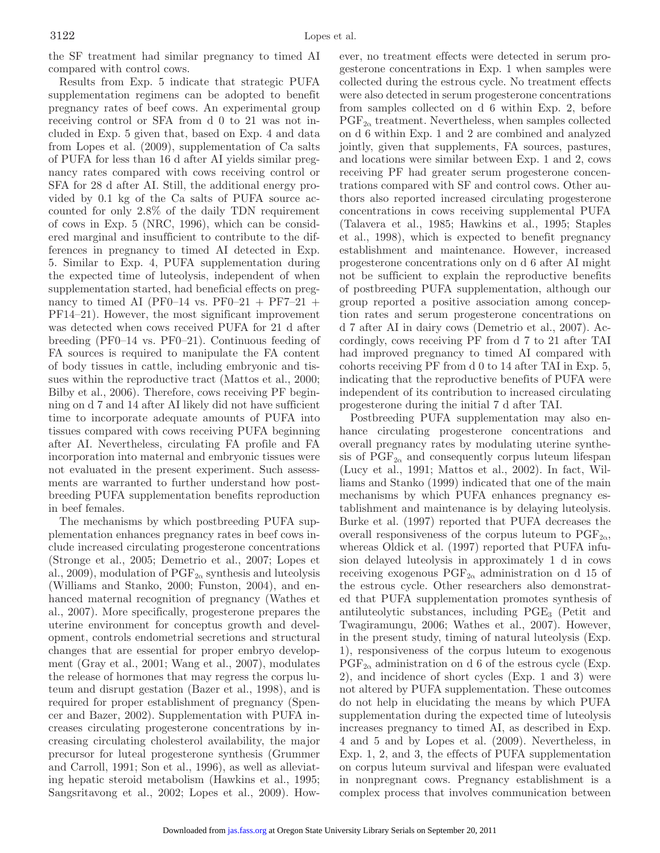the SF treatment had similar pregnancy to timed AI compared with control cows.

Results from Exp. 5 indicate that strategic PUFA supplementation regimens can be adopted to benefit pregnancy rates of beef cows. An experimental group receiving control or SFA from d 0 to 21 was not included in Exp. 5 given that, based on Exp. 4 and data from Lopes et al. (2009), supplementation of Ca salts of PUFA for less than 16 d after AI yields similar pregnancy rates compared with cows receiving control or SFA for 28 d after AI. Still, the additional energy provided by 0.1 kg of the Ca salts of PUFA source accounted for only 2.8% of the daily TDN requirement of cows in Exp. 5 (NRC, 1996), which can be considered marginal and insufficient to contribute to the differences in pregnancy to timed AI detected in Exp. 5. Similar to Exp. 4, PUFA supplementation during the expected time of luteolysis, independent of when supplementation started, had beneficial effects on pregnancy to timed AI (PF0–14 vs. PF0–21 + PF7–21 + PF14–21). However, the most significant improvement was detected when cows received PUFA for 21 d after breeding (PF0–14 vs. PF0–21). Continuous feeding of FA sources is required to manipulate the FA content of body tissues in cattle, including embryonic and tissues within the reproductive tract (Mattos et al., 2000; Bilby et al., 2006). Therefore, cows receiving PF beginning on d 7 and 14 after AI likely did not have sufficient time to incorporate adequate amounts of PUFA into tissues compared with cows receiving PUFA beginning after AI. Nevertheless, circulating FA profile and FA incorporation into maternal and embryonic tissues were not evaluated in the present experiment. Such assessments are warranted to further understand how postbreeding PUFA supplementation benefits reproduction in beef females.

The mechanisms by which postbreeding PUFA supplementation enhances pregnancy rates in beef cows include increased circulating progesterone concentrations (Stronge et al., 2005; Demetrio et al., 2007; Lopes et al., 2009), modulation of  $\mathrm{PGF}_{2\alpha}$  synthesis and luteolysis (Williams and Stanko, 2000; Funston, 2004), and enhanced maternal recognition of pregnancy (Wathes et al., 2007). More specifically, progesterone prepares the uterine environment for conceptus growth and development, controls endometrial secretions and structural changes that are essential for proper embryo development (Gray et al., 2001; Wang et al., 2007), modulates the release of hormones that may regress the corpus luteum and disrupt gestation (Bazer et al., 1998), and is required for proper establishment of pregnancy (Spencer and Bazer, 2002). Supplementation with PUFA increases circulating progesterone concentrations by increasing circulating cholesterol availability, the major precursor for luteal progesterone synthesis (Grummer and Carroll, 1991; Son et al., 1996), as well as alleviating hepatic steroid metabolism (Hawkins et al., 1995; Sangsritavong et al., 2002; Lopes et al., 2009). However, no treatment effects were detected in serum progesterone concentrations in Exp. 1 when samples were collected during the estrous cycle. No treatment effects were also detected in serum progesterone concentrations from samples collected on d 6 within Exp. 2, before  $PGF_{2\alpha}$  treatment. Nevertheless, when samples collected on d 6 within Exp. 1 and 2 are combined and analyzed jointly, given that supplements, FA sources, pastures, and locations were similar between Exp. 1 and 2, cows receiving PF had greater serum progesterone concentrations compared with SF and control cows. Other authors also reported increased circulating progesterone concentrations in cows receiving supplemental PUFA (Talavera et al., 1985; Hawkins et al., 1995; Staples et al., 1998), which is expected to benefit pregnancy establishment and maintenance. However, increased progesterone concentrations only on d 6 after AI might not be sufficient to explain the reproductive benefits of postbreeding PUFA supplementation, although our group reported a positive association among conception rates and serum progesterone concentrations on d 7 after AI in dairy cows (Demetrio et al., 2007). Accordingly, cows receiving PF from d 7 to 21 after TAI had improved pregnancy to timed AI compared with cohorts receiving PF from d 0 to 14 after TAI in Exp. 5, indicating that the reproductive benefits of PUFA were independent of its contribution to increased circulating progesterone during the initial 7 d after TAI.

Postbreeding PUFA supplementation may also enhance circulating progesterone concentrations and overall pregnancy rates by modulating uterine synthesis of  $PGF_{2\alpha}$  and consequently corpus luteum lifespan (Lucy et al., 1991; Mattos et al., 2002). In fact, Williams and Stanko (1999) indicated that one of the main mechanisms by which PUFA enhances pregnancy establishment and maintenance is by delaying luteolysis. Burke et al. (1997) reported that PUFA decreases the overall responsiveness of the corpus luteum to  $PGF_{2\alpha}$ , whereas Oldick et al. (1997) reported that PUFA infusion delayed luteolysis in approximately 1 d in cows receiving exogenous  $\mathrm{PGF}_{2\alpha}$  administration on d 15 of the estrous cycle. Other researchers also demonstrated that PUFA supplementation promotes synthesis of antiluteolytic substances, including  $PGE_3$  (Petit and Twagiramungu, 2006; Wathes et al., 2007). However, in the present study, timing of natural luteolysis (Exp. 1), responsiveness of the corpus luteum to exogenous  $PGF_{2\alpha}$  administration on d 6 of the estrous cycle (Exp. 2), and incidence of short cycles (Exp. 1 and 3) were not altered by PUFA supplementation. These outcomes do not help in elucidating the means by which PUFA supplementation during the expected time of luteolysis increases pregnancy to timed AI, as described in Exp. 4 and 5 and by Lopes et al. (2009). Nevertheless, in Exp. 1, 2, and 3, the effects of PUFA supplementation on corpus luteum survival and lifespan were evaluated in nonpregnant cows. Pregnancy establishment is a complex process that involves communication between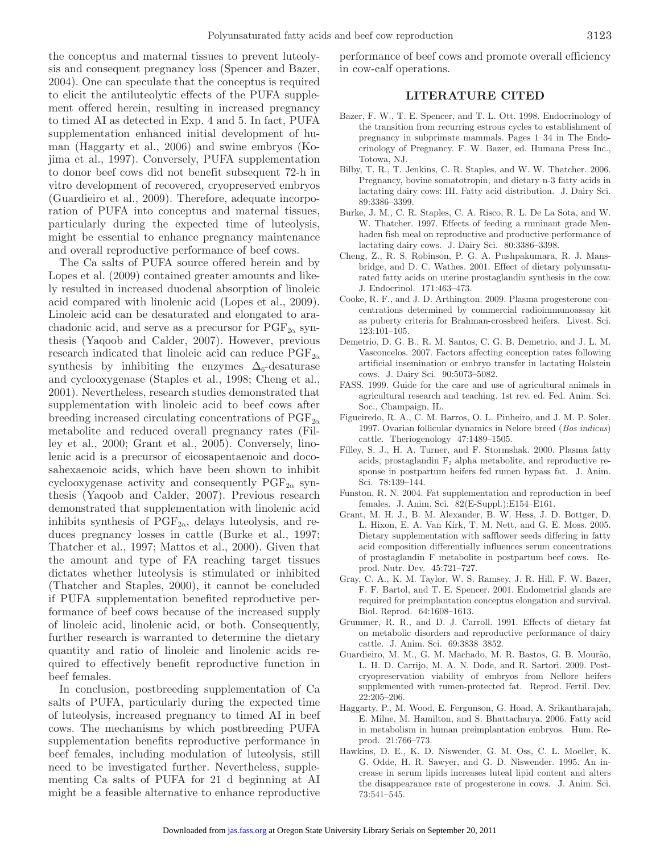the conceptus and maternal tissues to prevent luteolysis and consequent pregnancy loss (Spencer and Bazer, 2004). One can speculate that the conceptus is required to elicit the antiluteolytic effects of the PUFA supplement offered herein, resulting in increased pregnancy to timed AI as detected in Exp. 4 and 5. In fact, PUFA supplementation enhanced initial development of human (Haggarty et al., 2006) and swine embryos (Kojima et al., 1997). Conversely, PUFA supplementation to donor beef cows did not benefit subsequent 72-h in vitro development of recovered, cryopreserved embryos (Guardieiro et al., 2009). Therefore, adequate incorporation of PUFA into conceptus and maternal tissues, particularly during the expected time of luteolysis, might be essential to enhance pregnancy maintenance and overall reproductive performance of beef cows.

The Ca salts of PUFA source offered herein and by Lopes et al. (2009) contained greater amounts and likely resulted in increased duodenal absorption of linoleic acid compared with linolenic acid (Lopes et al., 2009). Linoleic acid can be desaturated and elongated to arachadonic acid, and serve as a precursor for  $\mathrm{PGF}_{2\alpha}$  synthesis (Yaqoob and Calder, 2007). However, previous research indicated that linoleic acid can reduce  $PGF_{2\alpha}$ synthesis by inhibiting the enzymes  $\Delta_6$ -desaturase and cyclooxygenase (Staples et al., 1998; Cheng et al., 2001). Nevertheless, research studies demonstrated that supplementation with linoleic acid to beef cows after breeding increased circulating concentrations of  $PGF_{2\alpha}$ metabolite and reduced overall pregnancy rates (Filley et al., 2000; Grant et al., 2005). Conversely, linolenic acid is a precursor of eicosapentaenoic and docosahexaenoic acids, which have been shown to inhibit cyclooxygenase activity and consequently  $PGF_{2\alpha}$  synthesis (Yaqoob and Calder, 2007). Previous research demonstrated that supplementation with linolenic acid inhibits synthesis of  $\mathrm{PGF}_{2\alpha}$ , delays luteolysis, and reduces pregnancy losses in cattle (Burke et al., 1997; Thatcher et al., 1997; Mattos et al., 2000). Given that the amount and type of FA reaching target tissues dictates whether luteolysis is stimulated or inhibited (Thatcher and Staples, 2000), it cannot be concluded if PUFA supplementation benefited reproductive performance of beef cows because of the increased supply of linoleic acid, linolenic acid, or both. Consequently, further research is warranted to determine the dietary quantity and ratio of linoleic and linolenic acids required to effectively benefit reproductive function in beef females.

In conclusion, postbreeding supplementation of Ca salts of PUFA, particularly during the expected time of luteolysis, increased pregnancy to timed AI in beef cows. The mechanisms by which postbreeding PUFA supplementation benefits reproductive performance in beef females, including modulation of luteolysis, still need to be investigated further. Nevertheless, supplementing Ca salts of PUFA for 21 d beginning at AI might be a feasible alternative to enhance reproductive performance of beef cows and promote overall efficiency in cow-calf operations.

# **LITERATURE CITED**

- Bazer, F. W., T. E. Spencer, and T. L. Ott. 1998. Endocrinology of the transition from recurring estrous cycles to establishment of pregnancy in subprimate mammals. Pages 1–34 in The Endocrinology of Pregnancy. F. W. Bazer, ed. Humana Press Inc., Totowa, NJ.
- Bilby, T. R., T. Jenkins, C. R. Staples, and W. W. Thatcher. 2006. Pregnancy, bovine somatotropin, and dietary n-3 fatty acids in lactating dairy cows: III. Fatty acid distribution. J. Dairy Sci. 89:3386–3399.
- Burke, J. M., C. R. Staples, C. A. Risco, R. L. De La Sota, and W. W. Thatcher. 1997. Effects of feeding a ruminant grade Menhaden fish meal on reproductive and productive performance of lactating dairy cows. J. Dairy Sci. 80:3386–3398.
- Cheng, Z., R. S. Robinson, P. G. A. Pushpakumara, R. J. Mansbridge, and D. C. Wathes. 2001. Effect of dietary polyunsaturated fatty acids on uterine prostaglandin synthesis in the cow. J. Endocrinol. 171:463–473.
- Cooke, R. F., and J. D. Arthington. 2009. Plasma progesterone concentrations determined by commercial radioimmunoassay kit as puberty criteria for Brahman-crossbred heifers. Livest. Sci. 123:101–105.
- Demetrio, D. G. B., R. M. Santos, C. G. B. Demetrio, and J. L. M. Vasconcelos. 2007. Factors affecting conception rates following artificial insemination or embryo transfer in lactating Holstein cows. J. Dairy Sci. 90:5073–5082.
- FASS. 1999. Guide for the care and use of agricultural animals in agricultural research and teaching. 1st rev. ed. Fed. Anim. Sci. Soc., Champaign, IL.
- Figueiredo, R. A., C. M. Barros, O. L. Pinheiro, and J. M. P. Soler. 1997. Ovarian follicular dynamics in Nelore breed (*Bos indicus*) cattle. Theriogenology 47:1489–1505.
- Filley, S. J., H. A. Turner, and F. Stormshak. 2000. Plasma fatty acids, prostaglandin  $F_2$  alpha metabolite, and reproductive response in postpartum heifers fed rumen bypass fat. J. Anim. Sci. 78:139–144.
- Funston, R. N. 2004. Fat supplementation and reproduction in beef females. J. Anim. Sci. 82(E-Suppl.):E154–E161.
- Grant, M. H. J., B. M. Alexander, B. W. Hess, J. D. Bottger, D. L. Hixon, E. A. Van Kirk, T. M. Nett, and G. E. Moss. 2005. Dietary supplementation with safflower seeds differing in fatty acid composition differentially influences serum concentrations of prostaglandin F metabolite in postpartum beef cows. Reprod. Nutr. Dev. 45:721–727.
- Gray, C. A., K. M. Taylor, W. S. Ramsey, J. R. Hill, F. W. Bazer, F. F. Bartol, and T. E. Spencer. 2001. Endometrial glands are required for preimplantation conceptus elongation and survival. Biol. Reprod. 64:1608–1613.
- Grummer, R. R., and D. J. Carroll. 1991. Effects of dietary fat on metabolic disorders and reproductive performance of dairy cattle. J. Anim. Sci. 69:3838–3852.
- Guardieiro, M. M., G. M. Machado, M. R. Bastos, G. B. Mourão, L. H. D. Carrijo, M. A. N. Dode, and R. Sartori. 2009. Postcryopreservation viability of embryos from Nellore heifers supplemented with rumen-protected fat. Reprod. Fertil. Dev. 22:205–206.
- Haggarty, P., M. Wood, E. Fergunson, G. Hoad, A. Srikantharajah, E. Milne, M. Hamilton, and S. Bhattacharya. 2006. Fatty acid in metabolism in human preimplantation embryos. Hum. Reprod. 21:766–773.
- Hawkins, D. E., K. D. Niswender, G. M. Oss, C. L. Moeller, K. G. Odde, H. R. Sawyer, and G. D. Niswender. 1995. An increase in serum lipids increases luteal lipid content and alters the disappearance rate of progesterone in cows. J. Anim. Sci. 73:541–545.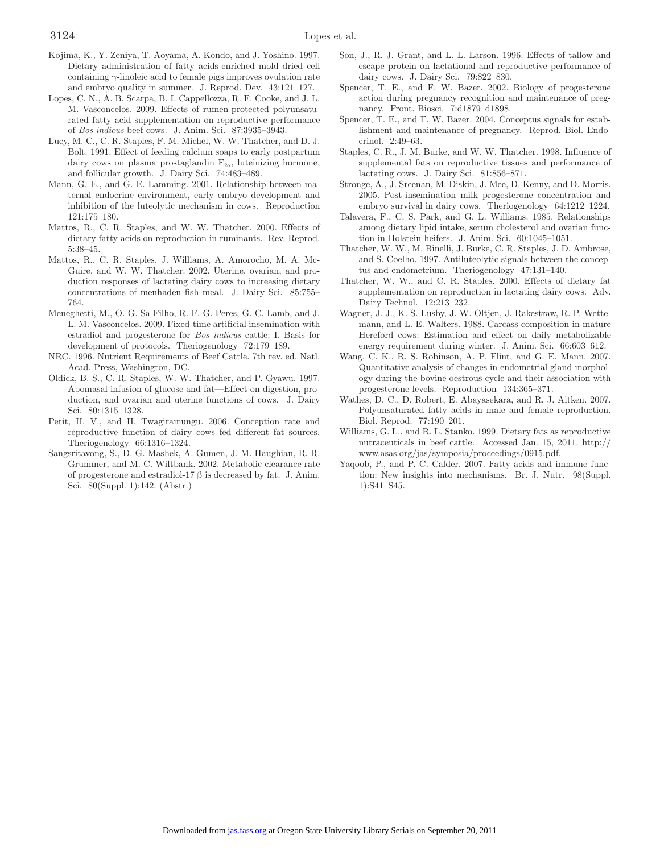- Kojima, K., Y. Zeniya, T. Aoyama, A. Kondo, and J. Yoshino. 1997. Dietary administration of fatty acids-enriched mold dried cell containing γ-linoleic acid to female pigs improves ovulation rate and embryo quality in summer. J. Reprod. Dev. 43:121–127.
- Lopes, C. N., A. B. Scarpa, B. I. Cappellozza, R. F. Cooke, and J. L. M. Vasconcelos. 2009. Effects of rumen-protected polyunsaturated fatty acid supplementation on reproductive performance of *Bos indicus* beef cows. J. Anim. Sci. 87:3935–3943.
- Lucy, M. C., C. R. Staples, F. M. Michel, W. W. Thatcher, and D. J. Bolt. 1991. Effect of feeding calcium soaps to early postpartum dairy cows on plasma prostaglandin  $F_{2\alpha}$ , luteinizing hormone, and follicular growth. J. Dairy Sci. 74:483–489.
- Mann, G. E., and G. E. Lamming. 2001. Relationship between maternal endocrine environment, early embryo development and inhibition of the luteolytic mechanism in cows. Reproduction 121:175–180.
- Mattos, R., C. R. Staples, and W. W. Thatcher. 2000. Effects of dietary fatty acids on reproduction in ruminants. Rev. Reprod. 5:38–45.
- Mattos, R., C. R. Staples, J. Williams, A. Amorocho, M. A. Mc-Guire, and W. W. Thatcher. 2002. Uterine, ovarian, and production responses of lactating dairy cows to increasing dietary concentrations of menhaden fish meal. J. Dairy Sci. 85:755– 764.
- Meneghetti, M., O. G. Sa Filho, R. F. G. Peres, G. C. Lamb, and J. L. M. Vasconcelos. 2009. Fixed-time artificial insemination with estradiol and progesterone for *Bos indicus* cattle: I. Basis for development of protocols. Theriogenology 72:179–189.
- NRC. 1996. Nutrient Requirements of Beef Cattle. 7th rev. ed. Natl. Acad. Press, Washington, DC.
- Oldick, B. S., C. R. Staples, W. W. Thatcher, and P. Gyawu. 1997. Abomasal infusion of glucose and fat—Effect on digestion, production, and ovarian and uterine functions of cows. J. Dairy Sci. 80:1315–1328.
- Petit, H. V., and H. Twagiramungu. 2006. Conception rate and reproductive function of dairy cows fed different fat sources. Theriogenology 66:1316–1324.
- Sangsritavong, S., D. G. Mashek, A. Gumen, J. M. Haughian, R. R. Grummer, and M. C. Wiltbank. 2002. Metabolic clearance rate of progesterone and estradiol-17 β is decreased by fat. J. Anim. Sci. 80(Suppl. 1):142. (Abstr.)
- Son, J., R. J. Grant, and L. L. Larson. 1996. Effects of tallow and escape protein on lactational and reproductive performance of dairy cows. J. Dairy Sci. 79:822–830.
- Spencer, T. E., and F. W. Bazer. 2002. Biology of progesterone action during pregnancy recognition and maintenance of pregnancy. Front. Biosci. 7:d1879–d1898.
- Spencer, T. E., and F. W. Bazer. 2004. Conceptus signals for establishment and maintenance of pregnancy. Reprod. Biol. Endocrinol. 2:49–63.
- Staples, C. R., J. M. Burke, and W. W. Thatcher. 1998. Influence of supplemental fats on reproductive tissues and performance of lactating cows. J. Dairy Sci. 81:856–871.
- Stronge, A., J. Sreenan, M. Diskin, J. Mee, D. Kenny, and D. Morris. 2005. Post-insemination milk progesterone concentration and embryo survival in dairy cows. Theriogenology 64:1212–1224.
- Talavera, F., C. S. Park, and G. L. Williams. 1985. Relationships among dietary lipid intake, serum cholesterol and ovarian function in Holstein heifers. J. Anim. Sci. 60:1045–1051.
- Thatcher, W. W., M. Binelli, J. Burke, C. R. Staples, J. D. Ambrose, and S. Coelho. 1997. Antiluteolytic signals between the conceptus and endometrium. Theriogenology 47:131–140.
- Thatcher, W. W., and C. R. Staples. 2000. Effects of dietary fat supplementation on reproduction in lactating dairy cows. Adv. Dairy Technol. 12:213–232.
- Wagner, J. J., K. S. Lusby, J. W. Oltjen, J. Rakestraw, R. P. Wettemann, and L. E. Walters. 1988. Carcass composition in mature Hereford cows: Estimation and effect on daily metabolizable energy requirement during winter. J. Anim. Sci. 66:603–612.
- Wang, C. K., R. S. Robinson, A. P. Flint, and G. E. Mann. 2007. Quantitative analysis of changes in endometrial gland morphology during the bovine oestrous cycle and their association with progesterone levels. Reproduction 134:365–371.
- Wathes, D. C., D. Robert, E. Abayasekara, and R. J. Aitken. 2007. Polyunsaturated fatty acids in male and female reproduction. Biol. Reprod. 77:190–201.
- Williams, G. L., and R. L. Stanko. 1999. Dietary fats as reproductive nutraceuticals in beef cattle. Accessed Jan. 15, 2011. http:// www.asas.org/jas/symposia/proceedings/0915.pdf.
- Yaqoob, P., and P. C. Calder. 2007. Fatty acids and immune function: New insights into mechanisms. Br. J. Nutr. 98(Suppl. 1):S41–S45.